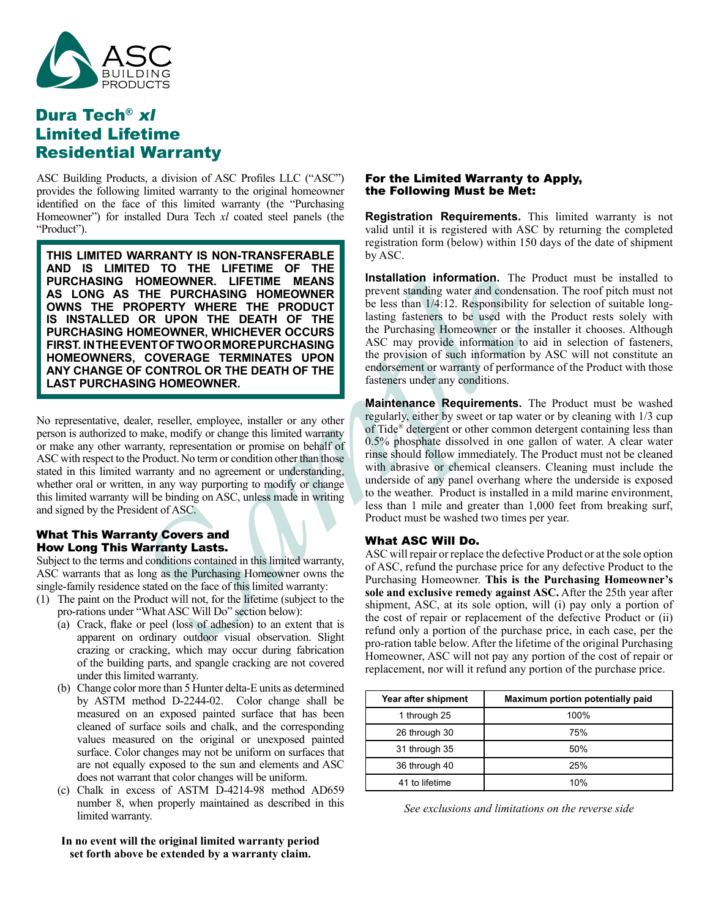

# Dura Tech® xl Limited Lifetime Residential Warranty

ASC Building Products, a division of ASC Profiles LLC ("ASC") provides the following limited warranty to the original homeowner identified on the face of this limited warranty (the "Purchasing Homeowner") for installed Dura Tech *xl* coated steel panels (the "Product").

**HOMEOWHER.** HITHETIME MEANING Installation information. The PH<br> **ROFERTY WHERE THE PRODUCT**<br> **ROFERTY WHERE THE PRODUCT**<br> **SAMPLE THE PRODUCT**<br> **SAMPLE THE PRODUCT**<br> **SAMPLE THE DEATH OF THE lasting fasteness to be used w THIS LIMITED WARRANTY IS NON-TRANSFERABLE AND IS LIMITED TO THE LIFETIME OF THE PURCHASING HOMEOWNER. LIFETIME MEANS AS LONG AS THE PURCHASING HOMEOWNER OWNS THE PROPERTY WHERE THE PRODUCT IS INSTALLED OR UPON THE DEATH OF THE PURCHASING HOMEOWNER, WHICHEVER OCCURS FIRST. IN THE EVENT OF TWO OR MORE PURCHASING HOMEOWNERS, COVERAGE TERMINATES UPON ANY CHANGE OF CONTROL OR THE DEATH OF THE LAST PURCHASING HOMEOWNER.**

No representative, dealer, reseller, employee, installer or any other person is authorized to make, modify or change this limited warranty or make any other warranty, representation or promise on behalf of ASC with respect to the Product. No term or condition other than those stated in this limited warranty and no agreement or understanding, whether oral or written, in any way purporting to modify or change this limited warranty will be binding on ASC, unless made in writing and signed by the President of ASC.

### What This Warranty Covers and How Long This Warranty Lasts.

Subject to the terms and conditions contained in this limited warranty, ASC warrants that as long as the Purchasing Homeowner owns the single-family residence stated on the face of this limited warranty:

- (1) The paint on the Product will not, for the lifetime (subject to the pro-rations under "What ASC Will Do" section below):
	- (a) Crack, flake or peel (loss of adhesion) to an extent that is apparent on ordinary outdoor visual observation. Slight crazing or cracking, which may occur during fabrication of the building parts, and spangle cracking are not covered under this limited warranty.
	- (b) Change color more than 5 Hunter delta-E units as determined by ASTM method D-2244-02. Color change shall be measured on an exposed painted surface that has been cleaned of surface soils and chalk, and the corresponding values measured on the original or unexposed painted surface. Color changes may not be uniform on surfaces that are not equally exposed to the sun and elements and ASC does not warrant that color changes will be uniform.
	- (c) Chalk in excess of ASTM D-4214-98 method AD659 number 8, when properly maintained as described in this limited warranty.

#### **In no event will the original limited warranty period set forth above be extended by a warranty claim.**

#### For the Limited Warranty to Apply, the Following Must be Met:

**Registration Requirements.** This limited warranty is not valid until it is registered with ASC by returning the completed registration form (below) within 150 days of the date of shipment by ASC.

**Installation information.** The Product must be installed to prevent standing water and condensation. The roof pitch must not be less than 1/4:12. Responsibility for selection of suitable longlasting fasteners to be used with the Product rests solely with the Purchasing Homeowner or the installer it chooses. Although ASC may provide information to aid in selection of fasteners, the provision of such information by ASC will not constitute an endorsement or warranty of performance of the Product with those fasteners under any conditions.

**Maintenance Requirements.** The Product must be washed regularly, either by sweet or tap water or by cleaning with 1/3 cup of Tide® detergent or other common detergent containing less than 0.5% phosphate dissolved in one gallon of water. A clear water rinse should follow immediately. The Product must not be cleaned with abrasive or chemical cleansers. Cleaning must include the underside of any panel overhang where the underside is exposed to the weather. Product is installed in a mild marine environment, less than 1 mile and greater than 1,000 feet from breaking surf, Product must be washed two times per year.

#### What ASC Will Do.

ASC will repair or replace the defective Product or at the sole option of ASC, refund the purchase price for any defective Product to the Purchasing Homeowner. **This is the Purchasing Homeowner's sole and exclusive remedy against ASC.** After the 25th year after shipment, ASC, at its sole option, will (i) pay only a portion of the cost of repair or replacement of the defective Product or (ii) refund only a portion of the purchase price, in each case, per the pro-ration table below. After the lifetime of the original Purchasing Homeowner, ASC will not pay any portion of the cost of repair or replacement, nor will it refund any portion of the purchase price.

| Year after shipment | Maximum portion potentially paid |
|---------------------|----------------------------------|
| 1 through 25        | 100%                             |
| 26 through 30       | 75%                              |
| 31 through 35       | 50%                              |
| 36 through 40       | 25%                              |
| 41 to lifetime      | 10%                              |

*See exclusions and limitations on the reverse side*